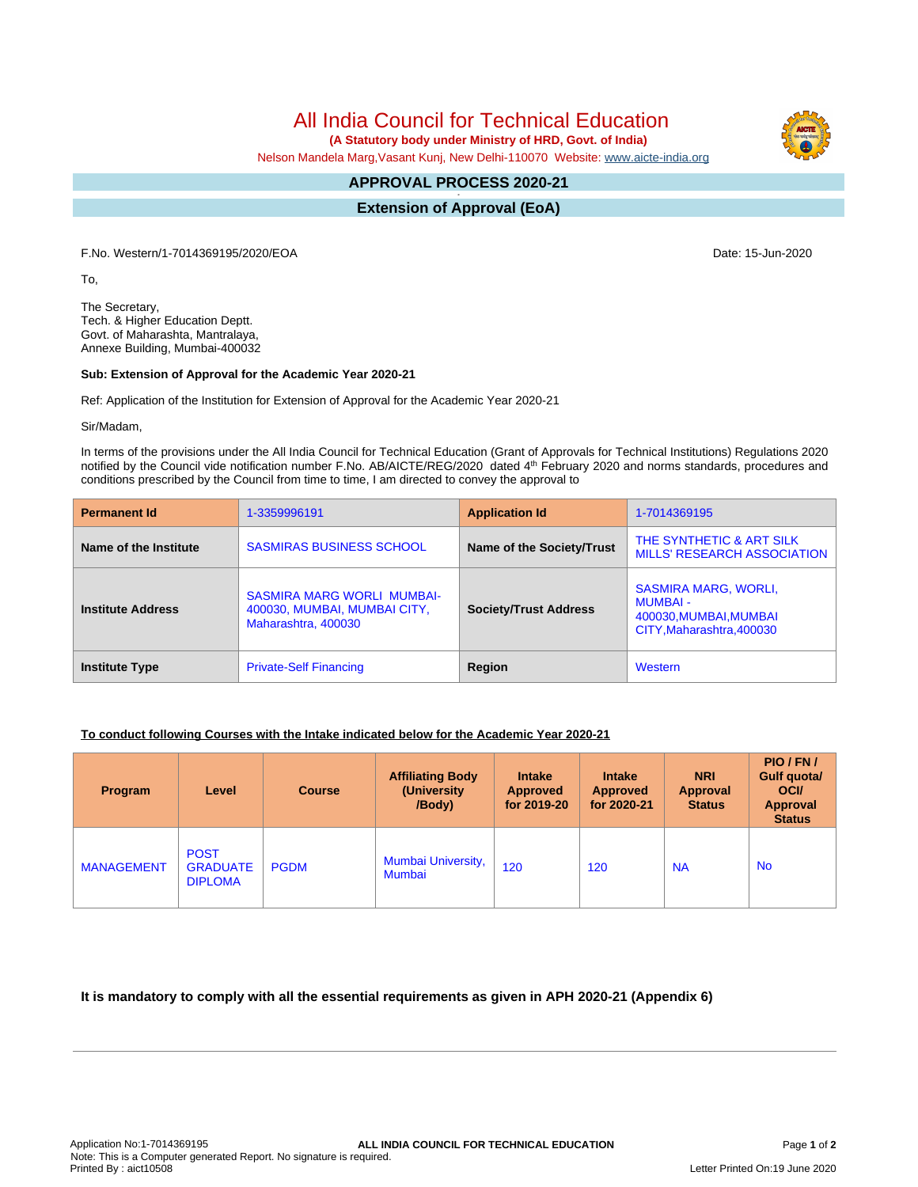All India Council for Technical Education

 **(A Statutory body under Ministry of HRD, Govt. of India)**

Nelson Mandela Marg,Vasant Kunj, New Delhi-110070 Website: [www.aicte-india.org](http://www.aicte-india.org)

#### **APPROVAL PROCESS 2020-21 -**

**Extension of Approval (EoA)**

F.No. Western/1-7014369195/2020/EOA Date: 15-Jun-2020

To,

The Secretary, Tech. & Higher Education Deptt. Govt. of Maharashta, Mantralaya, Annexe Building, Mumbai-400032

#### **Sub: Extension of Approval for the Academic Year 2020-21**

Ref: Application of the Institution for Extension of Approval for the Academic Year 2020-21

Sir/Madam,

In terms of the provisions under the All India Council for Technical Education (Grant of Approvals for Technical Institutions) Regulations 2020 notified by the Council vide notification number F.No. AB/AICTE/REG/2020 dated 4<sup>th</sup> February 2020 and norms standards, procedures and conditions prescribed by the Council from time to time, I am directed to convey the approval to

| <b>Permanent Id</b>      | 1-3359996191                                                                             | <b>Application Id</b>        | 1-7014369195                                                                                          |  |
|--------------------------|------------------------------------------------------------------------------------------|------------------------------|-------------------------------------------------------------------------------------------------------|--|
| Name of the Institute    | <b>SASMIRAS BUSINESS SCHOOL</b>                                                          | Name of the Society/Trust    | THE SYNTHETIC & ART SILK<br>MILLS' RESEARCH ASSOCIATION                                               |  |
| <b>Institute Address</b> | <b>SASMIRA MARG WORLI MUMBAI-</b><br>400030, MUMBAI, MUMBAI CITY,<br>Maharashtra, 400030 | <b>Society/Trust Address</b> | <b>SASMIRA MARG, WORLI,</b><br><b>MUMBAI -</b><br>400030, MUMBAI, MUMBAI<br>CITY, Maharashtra, 400030 |  |
| <b>Institute Type</b>    | <b>Private-Self Financing</b>                                                            | Region                       | Western                                                                                               |  |

### **To conduct following Courses with the Intake indicated below for the Academic Year 2020-21**

| Program           | Level                                            | <b>Course</b> | <b>Affiliating Body</b><br>(University)<br>/Body) | <b>Intake</b><br><b>Approved</b><br>for 2019-20 | <b>Intake</b><br><b>Approved</b><br>for 2020-21 | <b>NRI</b><br>Approval<br><b>Status</b> | PIO/FN/<br>Gulf quota/<br><b>OCI</b><br><b>Approval</b><br><b>Status</b> |
|-------------------|--------------------------------------------------|---------------|---------------------------------------------------|-------------------------------------------------|-------------------------------------------------|-----------------------------------------|--------------------------------------------------------------------------|
| <b>MANAGEMENT</b> | <b>POST</b><br><b>GRADUATE</b><br><b>DIPLOMA</b> | <b>PGDM</b>   | <b>Mumbai University,</b><br>Mumbai               | 120                                             | 120                                             | <b>NA</b>                               | <b>No</b>                                                                |

## **It is mandatory to comply with all the essential requirements as given in APH 2020-21 (Appendix 6)**